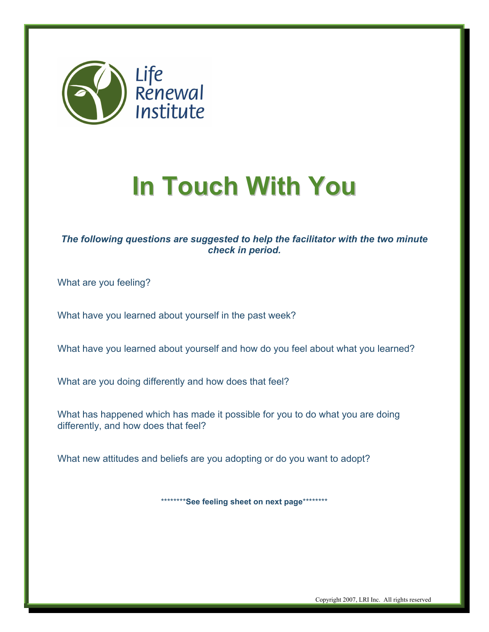

## **In Touch With You**

## *The following questions are suggested to help the facilitator with the two minute check in period.*

What are you feeling?

What have you learned about yourself in the past week?

What have you learned about yourself and how do you feel about what you learned?

What are you doing differently and how does that feel?

What has happened which has made it possible for you to do what you are doing differently, and how does that feel?

What new attitudes and beliefs are you adopting or do you want to adopt?

\*\*\*\*\*\*\*\***See feeling sheet on next page**\*\*\*\*\*\*\*\*

Copyright 2007, LRI Inc. All rights reserved